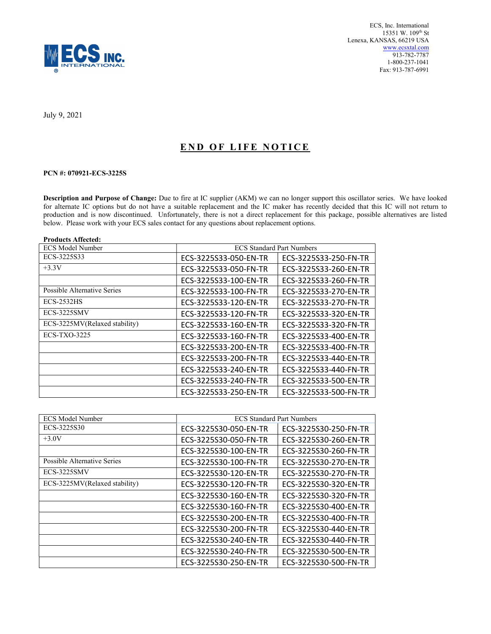

July 9, 2021

## END OF LIFE NOTICE

## PCN #: 070921-ECS-3225S

Description and Purpose of Change: Due to fire at IC supplier (AKM) we can no longer support this oscillator series. We have looked for alternate IC options but do not have a suitable replacement and the IC maker has recently decided that this IC will not return to production and is now discontinued. Unfortunately, there is not a direct replacement for this package, possible alternatives are listed below. Please work with your ECS sales contact for any questions about replacement options.

| <b>Products Affected:</b>     |                                  |                       |
|-------------------------------|----------------------------------|-----------------------|
| <b>ECS Model Number</b>       | <b>ECS Standard Part Numbers</b> |                       |
| ECS-3225S33                   | ECS-3225S33-050-EN-TR            | ECS-3225S33-250-FN-TR |
| $+3.3V$                       | ECS-3225S33-050-FN-TR            | ECS-3225S33-260-EN-TR |
|                               | ECS-3225S33-100-EN-TR            | ECS-3225S33-260-FN-TR |
| Possible Alternative Series   | ECS-3225S33-100-FN-TR            | ECS-3225S33-270-EN-TR |
| <b>ECS-2532HS</b>             | ECS-3225S33-120-EN-TR            | ECS-3225S33-270-FN-TR |
| ECS-3225SMV                   | ECS-3225S33-120-FN-TR            | ECS-3225S33-320-EN-TR |
| ECS-3225MV(Relaxed stability) | ECS-3225S33-160-EN-TR            | ECS-3225S33-320-FN-TR |
| $ECS-TXO-3225$                | ECS-3225S33-160-FN-TR            | ECS-3225S33-400-EN-TR |
|                               | ECS-3225S33-200-EN-TR            | ECS-3225S33-400-FN-TR |
|                               | ECS-3225S33-200-FN-TR            | ECS-3225S33-440-EN-TR |
|                               | ECS-3225S33-240-EN-TR            | ECS-3225S33-440-FN-TR |
|                               | ECS-3225S33-240-FN-TR            | ECS-3225S33-500-EN-TR |
|                               | ECS-3225S33-250-EN-TR            | ECS-3225S33-500-FN-TR |

| <b>ECS Model Number</b>       | <b>ECS Standard Part Numbers</b> |                       |
|-------------------------------|----------------------------------|-----------------------|
| ECS-3225S30                   | ECS-3225S30-050-EN-TR            | ECS-3225S30-250-FN-TR |
| $+3.0V$                       | ECS-3225S30-050-FN-TR            | ECS-3225S30-260-EN-TR |
|                               | ECS-3225S30-100-EN-TR            | ECS-3225S30-260-FN-TR |
| Possible Alternative Series   | ECS-3225S30-100-FN-TR            | ECS-3225S30-270-EN-TR |
| ECS-3225SMV                   | ECS-3225S30-120-EN-TR            | ECS-3225S30-270-FN-TR |
| ECS-3225MV(Relaxed stability) | ECS-3225S30-120-FN-TR            | ECS-3225S30-320-EN-TR |
|                               | ECS-3225S30-160-EN-TR            | ECS-3225S30-320-FN-TR |
|                               | ECS-3225S30-160-FN-TR            | ECS-3225S30-400-EN-TR |
|                               | ECS-3225S30-200-EN-TR            | ECS-3225S30-400-FN-TR |
|                               | ECS-3225S30-200-FN-TR            | ECS-3225S30-440-EN-TR |
|                               | ECS-3225S30-240-EN-TR            | ECS-3225S30-440-FN-TR |
|                               | ECS-3225S30-240-FN-TR            | ECS-3225S30-500-EN-TR |
|                               | ECS-3225S30-250-EN-TR            | ECS-3225S30-500-FN-TR |